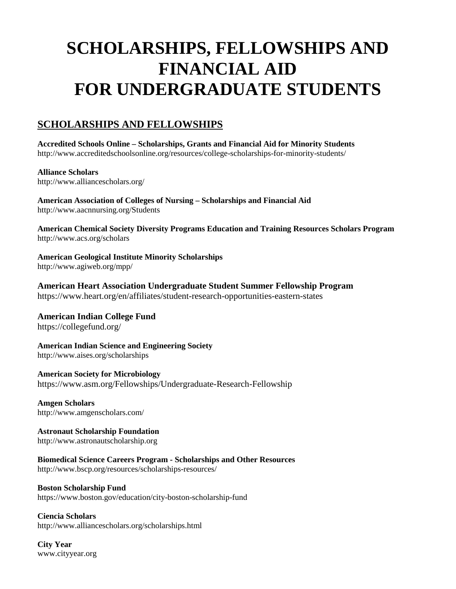# **SCHOLARSHIPS, FELLOWSHIPS AND FINANCIAL AID FOR UNDERGRADUATE STUDENTS**

### **SCHOLARSHIPS AND FELLOWSHIPS**

**Accredited Schools Online – Scholarships, Grants and Financial Aid for Minority Students** http://www.accreditedschoolsonline.org/resources/college-scholarships-for-minority-students/

**Alliance Scholars** http://www.alliancescholars.org/

**American Association of Colleges of Nursing – Scholarships and Financial Aid** http://www.aacnnursing.org/Students

**American Chemical Society Diversity Programs Education and Training Resources Scholars Program**  <http://www.acs.org/scholars>

**American Geological Institute Minority Scholarships**  <http://www.agiweb.org/mpp/>

**American Heart Association Undergraduate Student Summer Fellowship Program** https://www.heart.org/en/affiliates/student-research-opportunities-eastern-states

**American Indian College Fund** https://collegefund.org/

**American Indian Science and Engineering Society**  http://www.aises.org/scholarships

**American Society for Microbiology** https://www.asm.org/Fellowships/Undergraduate-Research-Fellowship

**Amgen Scholars**  <http://www.amgenscholars.com/>

**Astronaut Scholarship Foundation**  [http://www.astronautscholarship.org](http://www.astronautscholarship.org/) 

**Biomedical Science Careers Program - Scholarships and Other Resources**  http://www.bscp.org/resources/scholarships-resources/

**Boston Scholarship Fund** https://www.boston.gov/education/city-boston-scholarship-fund

**Ciencia Scholars** http://www.alliancescholars.org/scholarships.html

**City Year** www.cityyear.org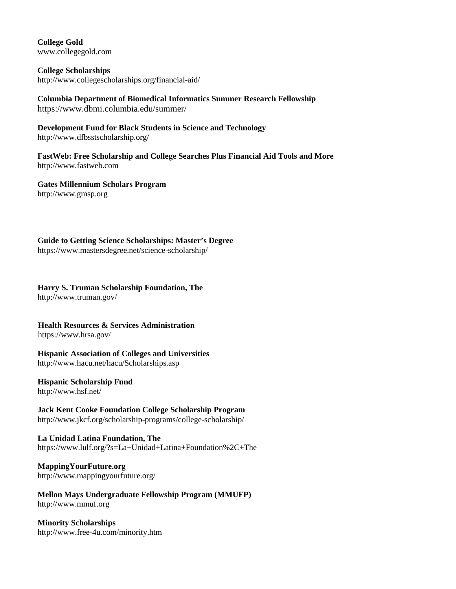**College Gold** www.collegegold.com

**College Scholarships** http://www.collegescholarships.org/financial-aid/

**Columbia Department of Biomedical Informatics Summer Research Fellowship** https://www.dbmi.columbia.edu/summer/

**Development Fund for Black Students in Science and Technology**  <http://www.dfbsstscholarship.org/>

**FastWeb: Free Scholarship and College Searches Plus Financial Aid Tools and More** [http://www.fastweb.com](http://www.fastweb.com/) 

**Gates Millennium Scholars Program** [http://www.gmsp.org](http://www.gmsp.org/)

**Guide to Getting Science Scholarships: Master's Degree**  https://www.mastersdegree.net/science-scholarship/

#### **Harry S. Truman Scholarship Foundation, The**

http://www.truman.gov/

# **Health Resources & Services Administration**

https://www.hrsa.gov/

**Hispanic Association of Colleges and Universities**  <http://www.hacu.net/hacu/Scholarships.asp>

#### **Hispanic Scholarship Fund**

<http://www.hsf.net/>

**Jack Kent Cooke Foundation College Scholarship Program** http://www.jkcf.org/scholarship-programs/college-scholarship/

**La Unidad Latina Foundation, The** https://www.lulf.org/?s=La+Unidad+Latina+Foundation%2C+The

### **MappingYourFuture.org**

http://www.mappingyourfuture.org/

**Mellon Mays Undergraduate Fellowship Program (MMUFP)** [http://www.mmuf.org](http://www.mmuf.org/) 

**Minority Scholarships** http://www.free-4u.com/minority.htm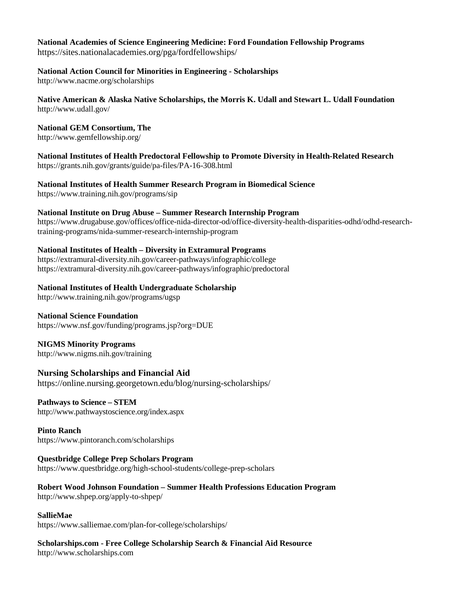# **National Academies of Science Engineering Medicine: Ford Foundation Fellowship Programs**

https://sites.nationalacademies.org/pga/fordfellowships/

#### **National Action Council for Minorities in Engineering - Scholarships**

http://www.nacme.org/scholarships

#### **Native American & Alaska Native Scholarships, the Morris K. Udall and Stewart L. Udall Foundation** http://www.udall.gov/

#### **National GEM Consortium, The**

<http://www.gemfellowship.org/>

**National Institutes of Health Predoctoral Fellowship to Promote Diversity in Health-Related Research** https://grants.nih.gov/grants/guide/pa-files/PA-16-308.html

**National Institutes of Health Summer Research Program in Biomedical Science**

https://www.training.nih.gov/programs/sip

#### **National Institute on Drug Abuse – Summer Research Internship Program**

https://www.drugabuse.gov/offices/office-nida-director-od/office-diversity-health-disparities-odhd/odhd-researchtraining-programs/nida-summer-research-internship-program

#### **National Institutes of Health – Diversity in Extramural Programs**

https://extramural-diversity.nih.gov/career-pathways/infographic/college https://extramural-diversity.nih.gov/career-pathways/infographic/predoctoral

#### **National Institutes of Health Undergraduate Scholarship**

http:/[/www.training.nih.gov/programs/ugsp](https://ugsp.nih.gov/application_center/application_center.asp?m=02&s=01)

#### **National Science Foundation**

https://www.nsf.gov/funding/programs.jsp?org=DUE

#### **NIGMS Minority Programs**

http://www.nigms.nih.gov/training

#### **Nursing Scholarships and Financial Aid**

<https://online.nursing.georgetown.edu/blog/nursing-scholarships/>

#### **Pathways to Science – STEM**

http://www.pathwaystoscience.org/index.aspx

#### **Pinto Ranch** https://www.pintoranch.com/scholarships

#### **Questbridge College Prep Scholars Program**

<https://www.questbridge.org/high-school-students/college-prep-scholars>

#### **Robert Wood Johnson Foundation – Summer Health Professions Education Program** http://www.shpep.org/apply-to-shpep/

#### **SallieMae**

https://www.salliemae.com/plan-for-college/scholarships/

#### **Scholarships.com - Free College Scholarship Search & Financial Aid Resource** [http://www.scholarships.com](http://www.scholarships.com/)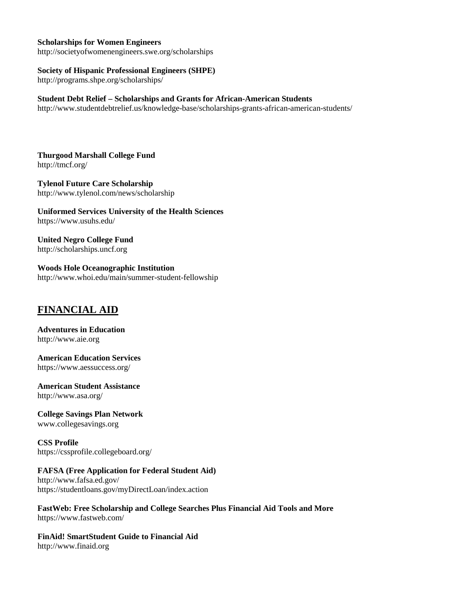#### **Scholarships for Women Engineers**

http://societyofwomenengineers.swe.org/scholarships

#### **Society of Hispanic Professional Engineers (SHPE)**

http://programs.shpe.org/scholarships/

#### **Student Debt Relief – Scholarships and Grants for African-American Students**

http://www.studentdebtrelief.us/knowledge-base/scholarships-grants-african-american-students/

**Thurgood Marshall College Fund** http://tmcf.org/

**Tylenol Future Care Scholarship** http://www.tylenol.com/news/scholarship

**Uniformed Services University of the Health Sciences** https://www.usuhs.edu/

**United Negro College Fund** http://scholarships.uncf.org

**Woods Hole Oceanographic Institution**  http://www.whoi.edu/main/summer-student-fellowship

#### **FINANCIAL AID**

**Adventures in Education** http://www.aie.org

**American Education Services** https://www.aessuccess.org/

**American Student Assistance** http://www.asa.org/

**College Savings Plan Network**  www.collegesavings.org

**CSS Profile** https://cssprofile.collegeboard.org/

#### **FAFSA (Free Application for Federal Student Aid)**

http://www.fafsa.ed.gov/ https://studentloans.gov/myDirectLoan/index.action

**FastWeb: Free Scholarship and College Searches Plus Financial Aid Tools and More** https://www.fastweb.com/

**FinAid! SmartStudent Guide to Financial Aid** [http://www.finaid.org](http://www.finaid.org/)